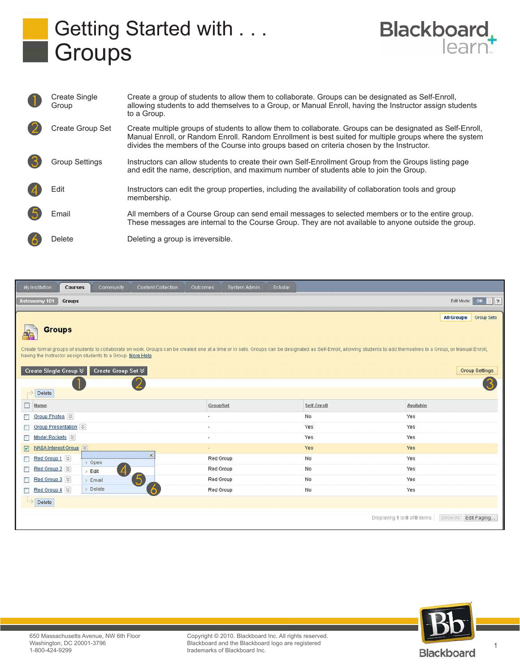



| Create Single<br>Group | Create a group of students to allow them to collaborate. Groups can be designated as Self-Enroll,<br>allowing students to add themselves to a Group, or Manual Enroll, having the Instructor assign students<br>to a Group.                                                                                      |
|------------------------|------------------------------------------------------------------------------------------------------------------------------------------------------------------------------------------------------------------------------------------------------------------------------------------------------------------|
| Create Group Set       | Create multiple groups of students to allow them to collaborate. Groups can be designated as Self-Enroll,<br>Manual Enroll, or Random Enroll. Random Enrollment is best suited for multiple groups where the system<br>divides the members of the Course into groups based on criteria chosen by the Instructor. |
| <b>Group Settings</b>  | Instructors can allow students to create their own Self-Enrollment Group from the Groups listing page<br>and edit the name, description, and maximum number of students able to join the Group.                                                                                                                  |
| Edit                   | Instructors can edit the group properties, including the availability of collaboration tools and group<br>membership.                                                                                                                                                                                            |
| Email                  | All members of a Course Group can send email messages to selected members or to the entire group.<br>These messages are internal to the Course Group. They are not available to anyone outside the group.                                                                                                        |
| Delete                 | Deleting a group is irreversible.                                                                                                                                                                                                                                                                                |

| <b>Content Collection</b><br>My Institution<br><b>Courses</b><br>Community                                                                                                                                                                                                                                                                    | Outcomes<br>System Admin | Scholar     |                                                          |  |  |  |  |
|-----------------------------------------------------------------------------------------------------------------------------------------------------------------------------------------------------------------------------------------------------------------------------------------------------------------------------------------------|--------------------------|-------------|----------------------------------------------------------|--|--|--|--|
| <b>Groups</b><br><b>Astronomy 101</b>                                                                                                                                                                                                                                                                                                         |                          |             | Edit Mode:<br>ON<br>$\parallel$ ?                        |  |  |  |  |
| <b>All Groups</b><br><b>Group Sets</b><br><b>Groups</b><br>Create formal groups of students to collaborate on work. Groups can be created one at a time or in sets. Groups can be designated as Self-Enroll, allowing students to add themselves to a Group, or Manual Enroll,<br>having the Instructor assign students to a Group. More Help |                          |             |                                                          |  |  |  |  |
| Create Single Group $\otimes$<br>Create Group Set $\mathbb{V}$<br>2<br>Delete                                                                                                                                                                                                                                                                 |                          |             | <b>Group Settings</b>                                    |  |  |  |  |
| □<br>Name                                                                                                                                                                                                                                                                                                                                     | GroupSet                 | Self-Enroll | Available                                                |  |  |  |  |
| Group Photos<br>П                                                                                                                                                                                                                                                                                                                             | ۰                        | No          | Yes                                                      |  |  |  |  |
| Group Presentation $\%$<br>П                                                                                                                                                                                                                                                                                                                  | $\infty$                 | Yes         | Yes                                                      |  |  |  |  |
| Model Rockets $\vert \mathcal{E} \vert$<br>П                                                                                                                                                                                                                                                                                                  | $\sim$                   | Yes         | Yes                                                      |  |  |  |  |
| NASA Interest Group<br>☑                                                                                                                                                                                                                                                                                                                      | ٠                        | Yes         | Yes                                                      |  |  |  |  |
| $\times$<br>Red Group 1 $\%$<br>□<br>> Open                                                                                                                                                                                                                                                                                                   | Red Group                | No          | Yes                                                      |  |  |  |  |
| Red Group 2<br>П<br>$\overline{A}$<br>> Edit                                                                                                                                                                                                                                                                                                  | Red Group                | No          | Yes                                                      |  |  |  |  |
| $\bullet$<br>Red Group 3<br>□<br>> Email                                                                                                                                                                                                                                                                                                      | Red Group                | No          | Yes                                                      |  |  |  |  |
| > Delete<br>Red Group 4<br>6<br>□                                                                                                                                                                                                                                                                                                             | Red Group                | No          | Yes                                                      |  |  |  |  |
| Delete                                                                                                                                                                                                                                                                                                                                        |                          |             |                                                          |  |  |  |  |
|                                                                                                                                                                                                                                                                                                                                               |                          |             | Displaying 1 to 8 of 8 items<br>Show All<br>Edit Paging. |  |  |  |  |



Blackboard and the Blackboard logo are registered<br>trademarks of Blackboard Inc. Copyright © 2010. Blackboard Inc. All rights reserved. trademarks of Blackboard Inc.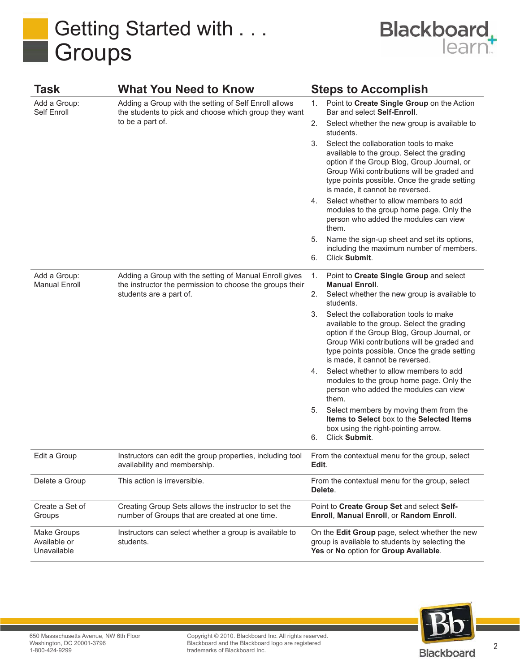



| Task                                       | <b>What You Need to Know</b>                                                                                                       |                                                           | <b>Steps to Accomplish</b>                                                                                                                                                                                                                                            |  |
|--------------------------------------------|------------------------------------------------------------------------------------------------------------------------------------|-----------------------------------------------------------|-----------------------------------------------------------------------------------------------------------------------------------------------------------------------------------------------------------------------------------------------------------------------|--|
| Add a Group:<br>Self Enroll                | Adding a Group with the setting of Self Enroll allows<br>the students to pick and choose which group they want<br>to be a part of. | 1.                                                        | Point to Create Single Group on the Action<br>Bar and select Self-Enroll.                                                                                                                                                                                             |  |
|                                            |                                                                                                                                    | 2.                                                        | Select whether the new group is available to<br>students.                                                                                                                                                                                                             |  |
|                                            |                                                                                                                                    | 3.                                                        | Select the collaboration tools to make<br>available to the group. Select the grading<br>option if the Group Blog, Group Journal, or<br>Group Wiki contributions will be graded and<br>type points possible. Once the grade setting<br>is made, it cannot be reversed. |  |
|                                            |                                                                                                                                    | 4.                                                        | Select whether to allow members to add<br>modules to the group home page. Only the<br>person who added the modules can view<br>them.                                                                                                                                  |  |
|                                            |                                                                                                                                    | 5.                                                        | Name the sign-up sheet and set its options,                                                                                                                                                                                                                           |  |
|                                            |                                                                                                                                    | 6.                                                        | including the maximum number of members.<br>Click Submit.                                                                                                                                                                                                             |  |
| Add a Group:                               | Adding a Group with the setting of Manual Enroll gives                                                                             | 1.                                                        | Point to Create Single Group and select                                                                                                                                                                                                                               |  |
| <b>Manual Enroll</b>                       | the instructor the permission to choose the groups their<br>students are a part of.                                                |                                                           | <b>Manual Enroll.</b><br>2. Select whether the new group is available to<br>students.                                                                                                                                                                                 |  |
|                                            |                                                                                                                                    | 3.                                                        | Select the collaboration tools to make<br>available to the group. Select the grading<br>option if the Group Blog, Group Journal, or<br>Group Wiki contributions will be graded and<br>type points possible. Once the grade setting<br>is made, it cannot be reversed. |  |
|                                            |                                                                                                                                    | 4.                                                        | Select whether to allow members to add<br>modules to the group home page. Only the<br>person who added the modules can view<br>them.                                                                                                                                  |  |
|                                            |                                                                                                                                    | 5.                                                        | Select members by moving them from the<br>Items to Select box to the Selected Items<br>box using the right-pointing arrow.                                                                                                                                            |  |
|                                            |                                                                                                                                    | 6.                                                        | Click Submit.                                                                                                                                                                                                                                                         |  |
| Edit a Group                               | Instructors can edit the group properties, including tool<br>availability and membership.                                          |                                                           | From the contextual menu for the group, select<br>Edit.                                                                                                                                                                                                               |  |
| Delete a Group                             | This action is irreversible.                                                                                                       | From the contextual menu for the group, select<br>Delete. |                                                                                                                                                                                                                                                                       |  |
| Create a Set of<br>Groups                  | Creating Group Sets allows the instructor to set the<br>number of Groups that are created at one time.                             |                                                           | Point to Create Group Set and select Self-<br>Enroll, Manual Enroll, or Random Enroll.                                                                                                                                                                                |  |
| Make Groups<br>Available or<br>Unavailable | Instructors can select whether a group is available to<br>students.                                                                |                                                           | On the Edit Group page, select whether the new<br>group is available to students by selecting the<br>Yes or No option for Group Available.                                                                                                                            |  |



Copyright © 2010. Blackboard Inc. All rights reserved. Blackboard and the Blackboard logo are registered trademarks of Blackboard Inc.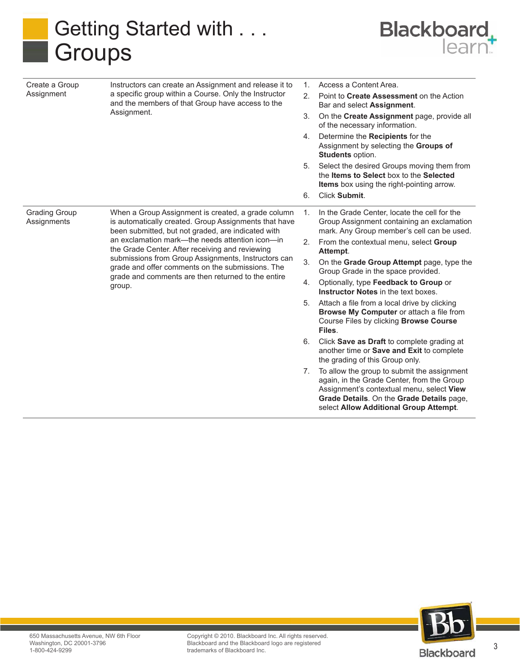



| Create a Group                      | Instructors can create an Assignment and release it to<br>a specific group within a Course. Only the Instructor<br>and the members of that Group have access to the<br>Assignment.                                                                                                                                                                                                                                                                 | 1. | Access a Content Area.                                                                                                                                                                                                        |
|-------------------------------------|----------------------------------------------------------------------------------------------------------------------------------------------------------------------------------------------------------------------------------------------------------------------------------------------------------------------------------------------------------------------------------------------------------------------------------------------------|----|-------------------------------------------------------------------------------------------------------------------------------------------------------------------------------------------------------------------------------|
| Assignment                          |                                                                                                                                                                                                                                                                                                                                                                                                                                                    | 2. | Point to Create Assessment on the Action<br>Bar and select Assignment.                                                                                                                                                        |
|                                     |                                                                                                                                                                                                                                                                                                                                                                                                                                                    | 3. | On the Create Assignment page, provide all<br>of the necessary information.                                                                                                                                                   |
|                                     |                                                                                                                                                                                                                                                                                                                                                                                                                                                    | 4. | Determine the Recipients for the<br>Assignment by selecting the Groups of<br>Students option.                                                                                                                                 |
|                                     |                                                                                                                                                                                                                                                                                                                                                                                                                                                    | 5. | Select the desired Groups moving them from<br>the Items to Select box to the Selected<br><b>Items</b> box using the right-pointing arrow.                                                                                     |
|                                     |                                                                                                                                                                                                                                                                                                                                                                                                                                                    | 6. | Click Submit.                                                                                                                                                                                                                 |
| <b>Grading Group</b><br>Assignments | When a Group Assignment is created, a grade column<br>is automatically created. Group Assignments that have<br>been submitted, but not graded, are indicated with<br>an exclamation mark—the needs attention icon—in<br>the Grade Center. After receiving and reviewing<br>submissions from Group Assignments, Instructors can<br>grade and offer comments on the submissions. The<br>grade and comments are then returned to the entire<br>group. | 1. | In the Grade Center, locate the cell for the<br>Group Assignment containing an exclamation<br>mark. Any Group member's cell can be used.                                                                                      |
|                                     |                                                                                                                                                                                                                                                                                                                                                                                                                                                    | 2. | From the contextual menu, select Group<br>Attempt.                                                                                                                                                                            |
|                                     |                                                                                                                                                                                                                                                                                                                                                                                                                                                    | 3. | On the Grade Group Attempt page, type the<br>Group Grade in the space provided.                                                                                                                                               |
|                                     |                                                                                                                                                                                                                                                                                                                                                                                                                                                    | 4. | Optionally, type Feedback to Group or<br><b>Instructor Notes in the text boxes.</b>                                                                                                                                           |
|                                     |                                                                                                                                                                                                                                                                                                                                                                                                                                                    | 5. | Attach a file from a local drive by clicking<br>Browse My Computer or attach a file from<br>Course Files by clicking <b>Browse Course</b><br>Files.                                                                           |
|                                     |                                                                                                                                                                                                                                                                                                                                                                                                                                                    | 6. | Click Save as Draft to complete grading at<br>another time or Save and Exit to complete<br>the grading of this Group only.                                                                                                    |
|                                     |                                                                                                                                                                                                                                                                                                                                                                                                                                                    | 7. | To allow the group to submit the assignment<br>again, in the Grade Center, from the Group<br>Assignment's contextual menu, select View<br>Grade Details. On the Grade Details page,<br>select Allow Additional Group Attempt. |



Copyright © 2010. Blackboard Inc. All rights reserved. Blackboard and the Blackboard logo are registered trademarks of Blackboard Inc.